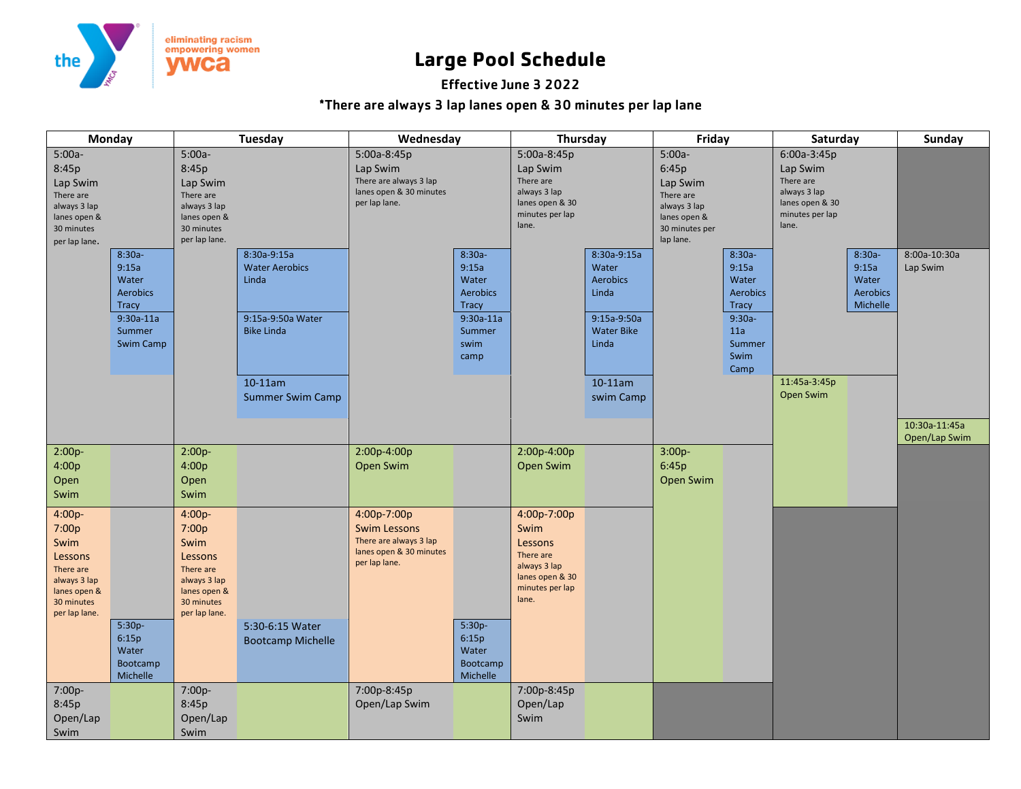

## **Large Pool Schedule**

## Effective June 3 2022

## \*There are always 3 lap lanes open & 30 minutes per lap lane

| Monday                                                                                                            |                                                                                                             | <b>Tuesday</b>                                                                                                   |                                                                                                                                  | Wednesday                                                                                                |                                                                                                         | Thursday                                                                                                   |                                                                                                                          | Friday                                                                                                    |                                                                                                            | Saturday                                                                                                                           |                                                            | <b>Sunday</b>                  |
|-------------------------------------------------------------------------------------------------------------------|-------------------------------------------------------------------------------------------------------------|------------------------------------------------------------------------------------------------------------------|----------------------------------------------------------------------------------------------------------------------------------|----------------------------------------------------------------------------------------------------------|---------------------------------------------------------------------------------------------------------|------------------------------------------------------------------------------------------------------------|--------------------------------------------------------------------------------------------------------------------------|-----------------------------------------------------------------------------------------------------------|------------------------------------------------------------------------------------------------------------|------------------------------------------------------------------------------------------------------------------------------------|------------------------------------------------------------|--------------------------------|
| $5:00a-$<br>8:45p<br>Lap Swim<br>There are<br>always 3 lap<br>lanes open &<br>30 minutes<br>per lap lane.         | $8:30a -$<br>9:15a<br>Water<br><b>Aerobics</b><br><b>Tracy</b><br>$9:30a-11a$<br>Summer<br><b>Swim Camp</b> | $5:00a-$<br>8:45p<br>Lap Swim<br>There are<br>always 3 lap<br>lanes open &<br>30 minutes<br>per lap lane.        | 8:30a-9:15a<br><b>Water Aerobics</b><br>Linda<br>9:15a-9:50a Water<br><b>Bike Linda</b><br>$10-11$ am<br><b>Summer Swim Camp</b> | 5:00a-8:45p<br>Lap Swim<br>There are always 3 lap<br>lanes open & 30 minutes<br>per lap lane.            | $8:30a -$<br>9:15a<br>Water<br><b>Aerobics</b><br><b>Tracy</b><br>$9:30a-11a$<br>Summer<br>swim<br>camp | 5:00a-8:45p<br>Lap Swim<br>There are<br>always 3 lap<br>lanes open & 30<br>minutes per lap<br>lane.        | 8:30a-9:15a<br>Water<br><b>Aerobics</b><br>Linda<br>9:15a-9:50a<br><b>Water Bike</b><br>Linda<br>$10-11$ am<br>swim Camp | $5:00a-$<br>6:45p<br>Lap Swim<br>There are<br>always 3 lap<br>lanes open &<br>30 minutes per<br>lap lane. | $8:30a-$<br>9:15a<br>Water<br><b>Aerobics</b><br><b>Tracy</b><br>$9:30a-$<br>11a<br>Summer<br>Swim<br>Camp | $6:00a-3:45p$<br>Lap Swim<br>There are<br>always 3 lap<br>lanes open & 30<br>minutes per lap<br>lane.<br>11:45a-3:45p<br>Open Swim | $8:30a -$<br>9:15a<br>Water<br><b>Aerobics</b><br>Michelle | 8:00a-10:30a<br>Lap Swim       |
|                                                                                                                   |                                                                                                             |                                                                                                                  |                                                                                                                                  |                                                                                                          |                                                                                                         |                                                                                                            |                                                                                                                          |                                                                                                           |                                                                                                            |                                                                                                                                    |                                                            | 10:30a-11:45a<br>Open/Lap Swim |
| $2:00p-$<br>4:00p<br>Open<br>Swim                                                                                 |                                                                                                             | $2:00p -$<br>4:00p<br>Open<br>Swim                                                                               |                                                                                                                                  | 2:00p-4:00p<br>Open Swim                                                                                 |                                                                                                         | 2:00p-4:00p<br>Open Swim                                                                                   |                                                                                                                          | $3:00p -$<br>6:45p<br>Open Swim                                                                           |                                                                                                            |                                                                                                                                    |                                                            |                                |
| $4:00p -$<br>7:00p<br>Swim<br>Lessons<br>There are<br>always 3 lap<br>lanes open &<br>30 minutes<br>per lap lane. | 5:30p-<br>6:15p<br>Water<br>Bootcamp<br>Michelle                                                            | $4:00p-$<br>7:00p<br>Swim<br>Lessons<br>There are<br>always 3 lap<br>lanes open &<br>30 minutes<br>per lap lane. | 5:30-6:15 Water<br><b>Bootcamp Michelle</b>                                                                                      | 4:00p-7:00p<br><b>Swim Lessons</b><br>There are always 3 lap<br>lanes open & 30 minutes<br>per lap lane. | 5:30p-<br>6:15p<br>Water<br>Bootcamp<br>Michelle                                                        | 4:00p-7:00p<br>Swim<br>Lessons<br>There are<br>always 3 lap<br>lanes open & 30<br>minutes per lap<br>lane. |                                                                                                                          |                                                                                                           |                                                                                                            |                                                                                                                                    |                                                            |                                |
| 7:00p-<br>8:45p<br>Open/Lap<br>Swim                                                                               |                                                                                                             | 7:00p-<br>8:45p<br>Open/Lap<br>Swim                                                                              |                                                                                                                                  | 7:00p-8:45p<br>Open/Lap Swim                                                                             |                                                                                                         | 7:00p-8:45p<br>Open/Lap<br>Swim                                                                            |                                                                                                                          |                                                                                                           |                                                                                                            |                                                                                                                                    |                                                            |                                |